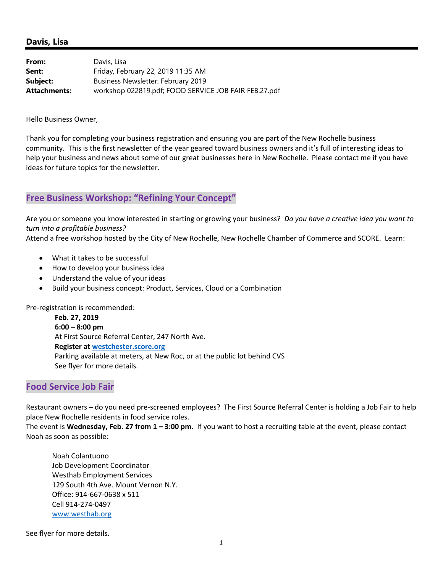#### **Davis, Lisa**

| From:               | Davis, Lisa                                           |
|---------------------|-------------------------------------------------------|
| Sent:               | Friday, February 22, 2019 11:35 AM                    |
| Subject:            | Business Newsletter: February 2019                    |
| <b>Attachments:</b> | workshop 022819.pdf; FOOD SERVICE JOB FAIR FEB.27.pdf |

Hello Business Owner,

Thank you for completing your business registration and ensuring you are part of the New Rochelle business community. This is the first newsletter of the year geared toward business owners and it's full of interesting ideas to help your business and news about some of our great businesses here in New Rochelle. Please contact me if you have ideas for future topics for the newsletter.

#### **Free Business Workshop: "Refining Your Concept"**

Are you or someone you know interested in starting or growing your business? *Do you have a creative idea you want to turn into a profitable business?* 

Attend a free workshop hosted by the City of New Rochelle, New Rochelle Chamber of Commerce and SCORE. Learn:

- What it takes to be successful
- How to develop your business idea
- Understand the value of your ideas
- Build your business concept: Product, Services, Cloud or a Combination

Pre‐registration is recommended:

 **Feb. 27, 2019 6:00 – 8:00 pm**  At First Source Referral Center, 247 North Ave. **Register at westchester.score.org** Parking available at meters, at New Roc, or at the public lot behind CVS See flyer for more details.

#### **Food Service Job Fair**

Restaurant owners – do you need pre‐screened employees? The First Source Referral Center is holding a Job Fair to help place New Rochelle residents in food service roles.

The event is **Wednesday, Feb. 27 from 1 – 3:00 pm**. If you want to host a recruiting table at the event, please contact Noah as soon as possible:

Noah Colantuono Job Development Coordinator Westhab Employment Services 129 South 4th Ave. Mount Vernon N.Y. Office: 914‐667‐0638 x 511 Cell 914‐274‐0497 www.westhab.org

See flyer for more details.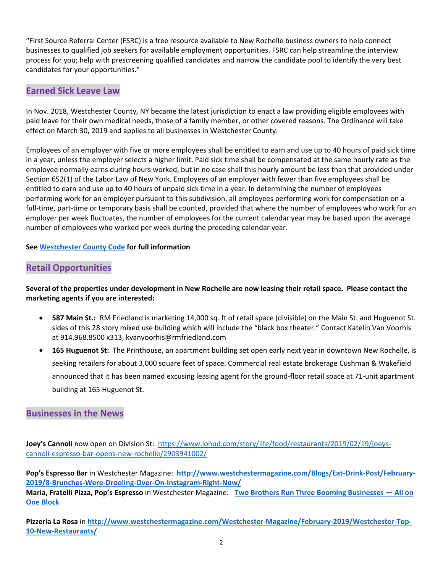"First Source Referral Center (FSRC) is a free resource available to New Rochelle business owners to help connect businesses to qualified job seekers for available employment opportunities. FSRC can help streamline the interview process for you; help with prescreening qualified candidates and narrow the candidate pool to identify the very best candidates for your opportunities."

#### **Earned Sick Leave Law**

In Nov. 2018, Westchester County, NY became the latest jurisdiction to enact a law providing eligible employees with paid leave for their own medical needs, those of a family member, or other covered reasons. The Ordinance will take effect on March 30, 2019 and applies to all businesses in Westchester County.

Employees of an employer with five or more employees shall be entitled to earn and use up to 40 hours of paid sick time in a year, unless the employer selects a higher limit. Paid sick time shall be compensated at the same hourly rate as the employee normally earns during hours worked, but in no case shall this hourly amount be less than that provided under Section 652(1) of the Labor Law of New York. Employees of an employer with fewer than five employees shall be entitled to earn and use up to 40 hours of unpaid sick time in a year. In determining the number of employees performing work for an employer pursuant to this subdivision, all employees performing work for compensation on a full-time, part-time or temporary basis shall be counted, provided that where the number of employees who work for an employer per week fluctuates, the number of employees for the current calendar year may be based upon the average number of employees who worked per week during the preceding calendar year.

#### **See Westchester County Code for full information**

### **Retail Opportunities**

#### **Several of the properties under development in New Rochelle are now leasing their retail space. Please contact the marketing agents if you are interested:**

- **587 Main St.:** RM Friedland is marketing 14,000 sq. ft of retail space (divisible) on the Main St. and Huguenot St. sides of this 28 story mixed use building which will include the "black box theater." Contact Katelin Van Voorhis at 914.968.8500 x313, kvanvoorhis@rmfriedland.com
- **165 Huguenot St:** The Printhouse, an apartment building set open early next year in downtown New Rochelle, is seeking retailers for about 3,000 square feet of space. Commercial real estate brokerage Cushman & Wakefield announced that it has been named excusing leasing agent for the ground‐floor retail space at 71‐unit apartment building at 165 Huguenot St.

#### **Businesses in the News**

**Joey's Cannoli** now open on Division St:https://www.lohud.com/story/life/food/restaurants/2019/02/19/joeys‐ cannoli‐espresso‐bar‐opens‐new‐rochelle/2903941002/

**Pop's Espresso Bar** in Westchester Magazine: **http://www.westchestermagazine.com/Blogs/Eat‐Drink‐Post/February‐ 2019/8‐Brunches‐Were‐Drooling‐Over‐On‐Instagram‐Right‐Now/**

**Maria, Fratelli Pizza, Pop's Espresso** in Westchester Magazine: **Two Brothers Run Three Booming Businesses — All on One Block**

**Pizzeria La Rosa** in **http://www.westchestermagazine.com/Westchester‐Magazine/February‐2019/Westchester‐Top‐ 10‐New‐Restaurants/**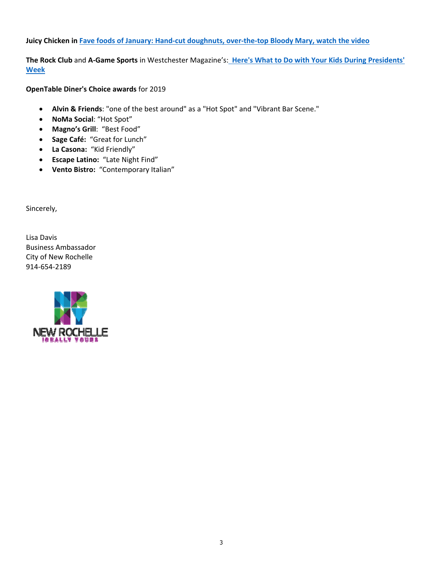**Juicy Chicken in Fave foods of January: Hand‐cut doughnuts, over‐the‐top Bloody Mary, watch the video** 

**The Rock Club** and **A‐Game Sports** in Westchester Magazine's: **Here's What to Do with Your Kids During Presidents' Week** 

**OpenTable Diner's Choice awards** for 2019

- **Alvin & Friends**: "one of the best around" as a "Hot Spot" and "Vibrant Bar Scene."
- **NoMa Social**: "Hot Spot"
- **Magno's Grill**: "Best Food"
- **Sage Café:** "Great for Lunch"
- **La Casona:** "Kid Friendly"
- **Escape Latino:** "Late Night Find"
- **Vento Bistro:** "Contemporary Italian"

Sincerely,

Lisa Davis Business Ambassador City of New Rochelle 914‐654‐2189

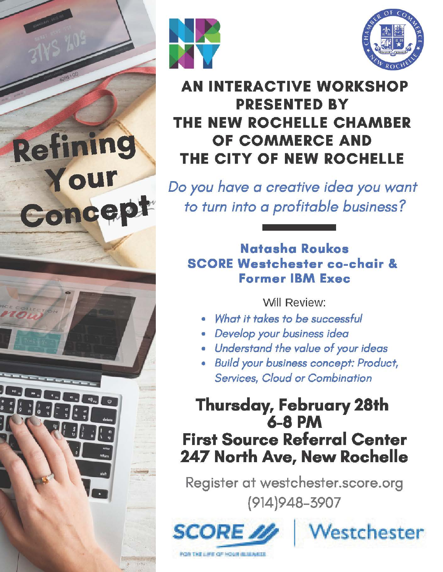

Refining

Your

Concept



## **AN INTERACTIVE WORKSHOP PRESENTED BY** THE NEW ROCHELLE CHAMBER OF COMMERCE AND THE CITY OF NEW ROCHELLE

Do you have a creative idea you want to turn into a profitable business?

### Natasha Roukos **SCORE Westchester co-chair & Former IBM Exec**

**Will Review:** 

- What it takes to be successful
- · Develop your business idea
- · Understand the value of your ideas
- · Build your business concept: Product, **Services, Cloud or Combination**

# **Thursday, February 28th 6-8 PM First Source Referral Center** 247 North Ave, New Rochelle

Register at westchester.score.org  $(914)948 - 3907$